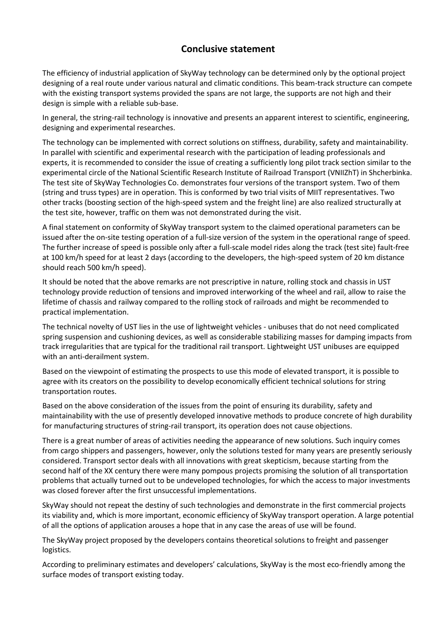## **Conclusive statement**

The efficiency of industrial application of SkyWay technology can be determined only by the optional project designing of a real route under various natural and climatic conditions. This beam-track structure can compete with the existing transport systems provided the spans are not large, the supports are not high and their design is simple with a reliable sub-base.

In general, the string-rail technology is innovative and presents an apparent interest to scientific, engineering, designing and experimental researches.

The technology can be implemented with correct solutions on stiffness, durability, safety and maintainability. In parallel with scientific and experimental research with the participation of leading professionals and experts, it is recommended to consider the issue of creating a sufficiently long pilot track section similar to the experimental circle of the National Scientific Research Institute of Railroad Transport (VNIIZhT) in Shcherbinka. The test site of SkyWay Technologies Co. demonstrates four versions of the transport system. Two of them (string and truss types) are in operation. This is conformed by two trial visits of MIIT representatives. Two other tracks (boosting section of the high-speed system and the freight line) are also realized structurally at the test site, however, traffic on them was not demonstrated during the visit.

A final statement on conformity of SkyWay transport system to the claimed operational parameters can be issued after the on-site testing operation of a full-size version of the system in the operational range of speed. The further increase of speed is possible only after a full-scale model rides along the track (test site) fault-free at 100 km/h speed for at least 2 days (according to the developers, the high-speed system of 20 km distance should reach 500 km/h speed).

It should be noted that the above remarks are not prescriptive in nature, rolling stock and chassis in UST technology provide reduction of tensions and improved interworking of the wheel and rail, allow to raise the lifetime of chassis and railway compared to the rolling stock of railroads and might be recommended to practical implementation.

The technical novelty of UST lies in the use of lightweight vehicles - unibuses that do not need complicated spring suspension and cushioning devices, as well as considerable stabilizing masses for damping impacts from track irregularities that are typical for the traditional rail transport. Lightweight UST unibuses are equipped with an anti-derailment system.

Based on the viewpoint of estimating the prospects to use this mode of elevated transport, it is possible to agree with its creators on the possibility to develop economically efficient technical solutions for string transportation routes.

Based on the above consideration of the issues from the point of ensuring its durability, safety and maintainability with the use of presently developed innovative methods to produce concrete of high durability for manufacturing structures of string-rail transport, its operation does not cause objections.

There is a great number of areas of activities needing the appearance of new solutions. Such inquiry comes from cargo shippers and passengers, however, only the solutions tested for many years are presently seriously considered. Transport sector deals with all innovations with great skepticism, because starting from the second half of the XX century there were many pompous projects promising the solution of all transportation problems that actually turned out to be undeveloped technologies, for which the access to major investments was closed forever after the first unsuccessful implementations.

SkyWay should not repeat the destiny of such technologies and demonstrate in the first commercial projects its viability and, which is more important, economic efficiency of SkyWay transport operation. A large potential of all the options of application arouses a hope that in any case the areas of use will be found.

The SkyWay project proposed by the developers contains theoretical solutions to freight and passenger logistics.

According to preliminary estimates and developers' calculations, SkyWay is the most eco-friendly among the surface modes of transport existing today.